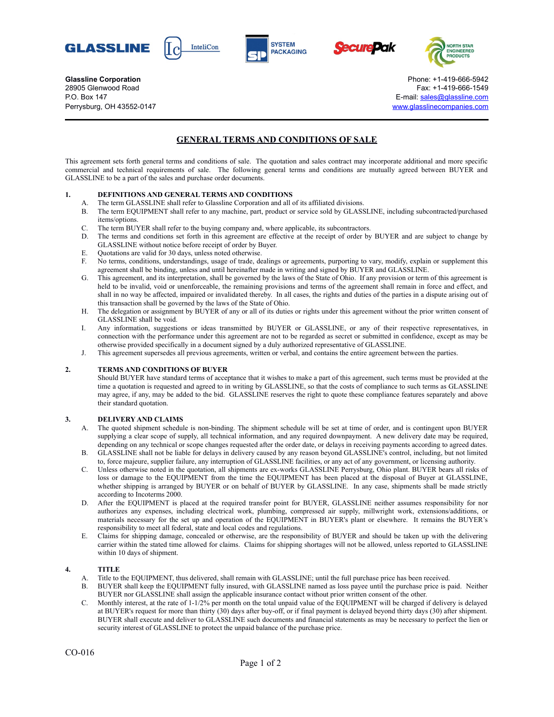









**Glassline Corporation Corporation Corporation Corporation Phone: +1-419-666-5942** 28905 Glenwood Road Fax: +1-419-666-1549 P.O. Box 147 E-mail: [sales@glassline.com](mailto:sales@glassline.com) Perrysburg, OH 43552-0147 [www.glasslinecompanies.com](http://www.glasslinecompanies.com/)

# **GENERAL TERMS AND CONDITIONS OF SALE**

This agreement sets forth general terms and conditions of sale. The quotation and sales contract may incorporate additional and more specific commercial and technical requirements of sale. The following general terms and conditions are mutually agreed between BUYER and GLASSLINE to be a part of the sales and purchase order documents.

### **1. DEFINITIONS AND GENERAL TERMS AND CONDITIONS**

- A. The term GLASSLINE shall refer to Glassline Corporation and all of its affiliated divisions.
- B. The term EQUIPMENT shall refer to any machine, part, product or service sold by GLASSLINE, including subcontracted/purchased items/options.
- C. The term BUYER shall refer to the buying company and, where applicable, its subcontractors.
- D. The terms and conditions set forth in this agreement are effective at the receipt of order by BUYER and are subject to change by GLASSLINE without notice before receipt of order by Buyer.
- E. Quotations are valid for 30 days, unless noted otherwise.
- F. No terms, conditions, understandings, usage of trade, dealings or agreements, purporting to vary, modify, explain or supplement this agreement shall be binding, unless and until hereinafter made in writing and signed by BUYER and GLASSLINE.
- G. This agreement, and its interpretation, shall be governed by the laws of the State of Ohio. If any provision or term of this agreement is held to be invalid, void or unenforceable, the remaining provisions and terms of the agreement shall remain in force and effect, and shall in no way be affected, impaired or invalidated thereby. In all cases, the rights and duties of the parties in a dispute arising out of this transaction shall be governed by the laws of the State of Ohio.
- H. The delegation or assignment by BUYER of any or all of its duties or rights under this agreement without the prior written consent of GLASSLINE shall be void.
- I. Any information, suggestions or ideas transmitted by BUYER or GLASSLINE, or any of their respective representatives, in connection with the performance under this agreement are not to be regarded as secret or submitted in confidence, except as may be otherwise provided specifically in a document signed by a duly authorized representative of GLASSLINE.
- J. This agreement supersedes all previous agreements, written or verbal, and contains the entire agreement between the parties.

### **2. TERMS AND CONDITIONS OF BUYER**

Should BUYER have standard terms of acceptance that it wishes to make a part of this agreement, such terms must be provided at the time a quotation is requested and agreed to in writing by GLASSLINE, so that the costs of compliance to such terms as GLASSLINE may agree, if any, may be added to the bid. GLASSLINE reserves the right to quote these compliance features separately and above their standard quotation.

### **3. DELIVERY AND CLAIMS**

- A. The quoted shipment schedule is non-binding. The shipment schedule will be set at time of order, and is contingent upon BUYER supplying a clear scope of supply, all technical information, and any required downpayment. A new delivery date may be required, depending on any technical or scope changes requested after the order date, or delays in receiving payments according to agreed dates.
- B. GLASSLINE shall not be liable for delays in delivery caused by any reason beyond GLASSLINE's control, including, but not limited to, force majeure, supplier failure, any interruption of GLASSLINE facilities, or any act of any government, or licensing authority.
- C. Unless otherwise noted in the quotation, all shipments are ex-works GLASSLINE Perrysburg, Ohio plant. BUYER bears all risks of loss or damage to the EQUIPMENT from the time the EQUIPMENT has been placed at the disposal of Buyer at GLASSLINE, whether shipping is arranged by BUYER or on behalf of BUYER by GLASSLINE. In any case, shipments shall be made strictly according to Incoterms 2000.
- D. After the EQUIPMENT is placed at the required transfer point for BUYER, GLASSLINE neither assumes responsibility for nor authorizes any expenses, including electrical work, plumbing, compressed air supply, millwright work, extensions/additions, or materials necessary for the set up and operation of the EQUIPMENT in BUYER's plant or elsewhere. It remains the BUYER's responsibility to meet all federal, state and local codes and regulations.
- E. Claims for shipping damage, concealed or otherwise, are the responsibility of BUYER and should be taken up with the delivering carrier within the stated time allowed for claims. Claims for shipping shortages will not be allowed, unless reported to GLASSLINE within 10 days of shipment.

### **4. TITLE**

- A. Title to the EQUIPMENT, thus delivered, shall remain with GLASSLINE; until the full purchase price has been received.
- B. BUYER shall keep the EQUIPMENT fully insured, with GLASSLINE named as loss payee until the purchase price is paid. Neither BUYER nor GLASSLINE shall assign the applicable insurance contact without prior written consent of the other.
- C. Monthly interest, at the rate of 1-1/2% per month on the total unpaid value of the EQUIPMENT will be charged if delivery is delayed at BUYER's request for more than thirty (30) days after buy-off, or if final payment is delayed beyond thirty days (30) after shipment. BUYER shall execute and deliver to GLASSLINE such documents and financial statements as may be necessary to perfect the lien or security interest of GLASSLINE to protect the unpaid balance of the purchase price.